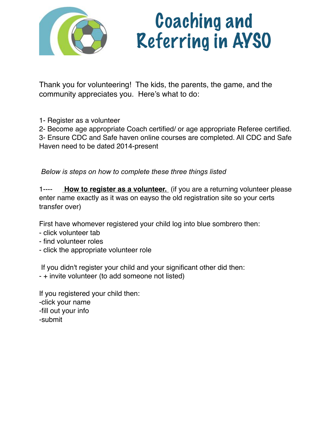

# Coaching and Referring in AYSO

Thank you for volunteering! The kids, the parents, the game, and the community appreciates you. Here's what to do:

1- Register as a volunteer

2- Become age appropriate Coach certified/ or age appropriate Referee certified.

3- Ensure CDC and Safe haven online courses are completed. All CDC and Safe Haven need to be dated 2014-present

 *Below is steps on how to complete these three things listed* 

1---- **How to register as a volunteer.** (if you are a returning volunteer please enter name exactly as it was on eayso the old registration site so your certs transfer over)

First have whomever registered your child log into blue sombrero then:

- click volunteer tab
- find volunteer roles
- click the appropriate volunteer role

If you didn't register your child and your significant other did then:

- + invite volunteer (to add someone not listed)

If you registered your child then: -click your name -fill out your info -submit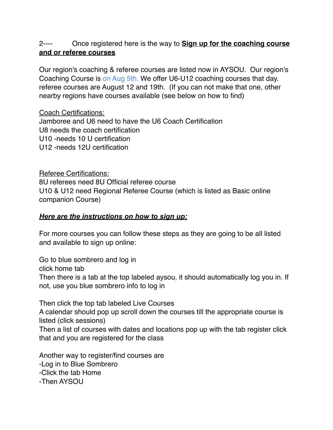## 2---- Once registered here is the way to **Sign up for the coaching course and or referee courses**

Our region's coaching & referee courses are listed now in AYSOU. Our region's Coaching Course is on Aug 5th. We offer U6-U12 coaching courses that day. referee courses are August 12 and 19th. (If you can not make that one, other nearby regions have courses available (see below on how to find)

Coach Certifications: Jamboree and U6 need to have the U6 Coach Certification U8 needs the coach certification U10 -needs 10 U certification U12 -needs 12U certification

Referee Certifications: 8U referees need 8U Official referee course U10 & U12 need Regional Referee Course (which is listed as Basic online companion Course)

### *Here are the instructions on how to sign up:*

For more courses you can follow these steps as they are going to be all listed and available to sign up online:

Go to blue sombrero and log in click home tab Then there is a tab at the top labeled aysou, it should automatically log you in. If not, use you blue sombrero info to log in

Then click the top tab labeled Live Courses A calendar should pop up scroll down the courses till the appropriate course is listed (click sessions)

Then a list of courses with dates and locations pop up with the tab register click that and you are registered for the class

Another way to register/find courses are -Log in to Blue Sombrero -Click the tab Home -Then AYSOU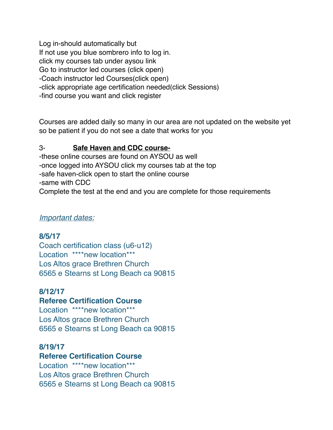Log in-should automatically but If not use you blue sombrero info to log in. click my courses tab under aysou link Go to instructor led courses (click open) -Coach instructor led Courses(click open) -click appropriate age certification needed(click Sessions) -find course you want and click register

Courses are added daily so many in our area are not updated on the website yet so be patient if you do not see a date that works for you

#### 3- **Safe Haven and CDC course-**

-these online courses are found on AYSOU as well -once logged into AYSOU click my courses tab at the top -safe haven-click open to start the online course -same with CDC Complete the test at the end and you are complete for those requirements

#### *Important dates:*

#### **8/5/17**

Coach certification class (u6-u12) Location \*\*\*\*new location\*\*\* Los Altos grace Brethren Church 6565 e Stearns st Long Beach ca 90815

## **8/12/17**

## **Referee Certification Course**

Location \*\*\*\*new location\*\*\* Los Altos grace Brethren Church 6565 e Stearns st Long Beach ca 90815

## **8/19/17**

#### **Referee Certification Course**

Location \*\*\*\*new location\*\*\* Los Altos grace Brethren Church 6565 e Stearns st Long Beach ca 90815